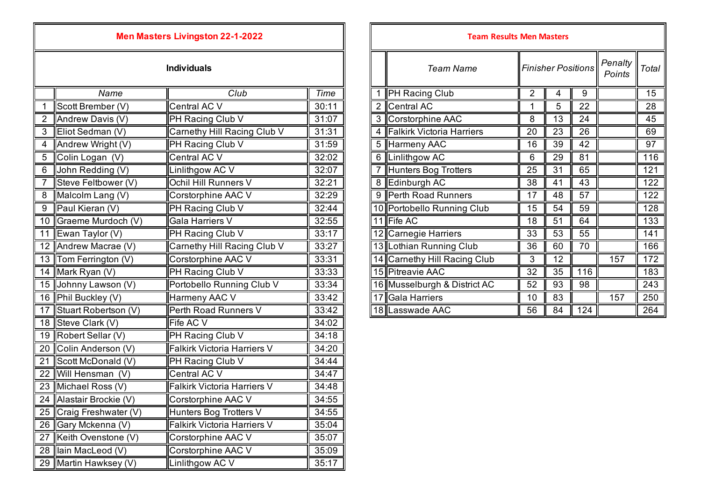|  |  | <b>Men Masters Livingston 22-1-2022</b> |  |  |  |
|--|--|-----------------------------------------|--|--|--|
|--|--|-----------------------------------------|--|--|--|

|                 | Name                    | Club                        | Time  |                | PH Racing Club               | $\overline{2}$  | 4               | 9               |     | 15               |
|-----------------|-------------------------|-----------------------------|-------|----------------|------------------------------|-----------------|-----------------|-----------------|-----|------------------|
|                 | Scott Brember (V)       | Central AC $\overline{V}$   | 30:11 | $\overline{2}$ | <b>Central AC</b>            |                 | 5               | 22              |     | 28               |
| $\overline{2}$  | Andrew Davis (V)        | PH Racing Club V            | 31:07 | 3              | <b>Corstorphine AAC</b>      | 8               | $\overline{13}$ | $\overline{24}$ |     | 45               |
| 3               | Eliot Sedman (V)        | Carnethy Hill Racing Club V | 31:31 | 4              | Falkirk Victoria Harriers    | 20              | 23              | 26              |     | 69               |
| $\overline{4}$  | Andrew Wright (V)       | PH Racing Club V            | 31:59 | 5              | Harmeny AAC                  | 16              | $\overline{39}$ | 42              |     | $\overline{97}$  |
| 5               | Colin Logan (V)         | Central AC V                | 32:02 | 6              | Linlithgow AC                | 6               | 29              | $\overline{81}$ |     | 116              |
| 6               | John Redding (V)        | Linlithgow AC V             | 32:07 |                | Hunters Bog Trotters         | 25              | 31              | 65              |     | $121$            |
|                 | Steve Feltbower (V)     | Ochil Hill Runners V        | 32:21 | 8              | Edinburgh AC                 | $\overline{38}$ | $\overline{41}$ | $\overline{43}$ |     | $\overline{122}$ |
| 8               | Malcolm Lang (V)        | Corstorphine AAC V          | 32:29 | 9              | Perth Road Runners           | 17              | 48              | $\overline{57}$ |     | 122              |
| 9               | Paul Kieran (V)         | PH Racing Club V            | 32:44 |                | 10 Portobello Running Club   | 15              | 54              | $\overline{59}$ |     | 128              |
| 10 <sup>°</sup> | Graeme Murdoch (V)      | <b>Gala Harriers V</b>      | 32:55 |                | 11 Fife AC                   | 18              | 51              | 64              |     | 133              |
| 11              | Ewan Taylor $(V)$       | PH Racing Club V            | 33:17 |                | 12 Carnegie Harriers         | 33              | 53              | 55              |     | 141              |
|                 | 12 Andrew Macrae (V)    | Carnethy Hill Racing Club V | 33:27 |                | 13 Lothian Running Club      | 36              | 60              | 70              |     | 166              |
|                 | 13 Tom Ferrington (V)   | Corstorphine AAC V          | 33:31 |                | 14 Carnethy Hill Racing Club | 3               | 12              |                 | 157 | 172              |
|                 | 14 Mark Ryan (V)        | PH Racing Club V            | 33:33 |                | 15 Pitreavie AAC             | $\overline{32}$ | $\overline{35}$ | 116             |     | 183              |
|                 | 15 Johnny Lawson (V)    | Portobello Running Club V   | 33:34 |                | 16 Musselburgh & District AC | 52              | 93              | 98              |     | 243              |
|                 | 16 Phil Buckley (V)     | Harmeny AAC V               | 33:42 |                | 17 Gala Harriers             | 10              | 83              |                 | 157 | 250              |
| 17              | Stuart Robertson (V)    | Perth Road Runners V        | 33:42 |                | 18 Lasswade AAC              | 56              | 84              | 124             |     | 264              |
|                 | 18 Steve Clark (V)      | Fife AC V                   | 34:02 |                |                              |                 |                 |                 |     |                  |
|                 | 19 Robert Sellar (V)    | PH Racing Club V            | 34:18 |                |                              |                 |                 |                 |     |                  |
|                 | 20 Colin Anderson (V)   | Falkirk Victoria Harriers V | 34:20 |                |                              |                 |                 |                 |     |                  |
| 21              | Scott McDonald (V)      | PH Racing Club V            | 34:44 |                |                              |                 |                 |                 |     |                  |
| 22              | Will Hensman (V)        | Central AC V                | 34:47 |                |                              |                 |                 |                 |     |                  |
|                 | 23 Michael Ross (V)     | Falkirk Victoria Harriers V | 34:48 |                |                              |                 |                 |                 |     |                  |
|                 | 24 Alastair Brockie (V) | Corstorphine AAC V          | 34:55 |                |                              |                 |                 |                 |     |                  |
|                 | 25 Craig Freshwater (V) | Hunters Bog Trotters V      | 34:55 |                |                              |                 |                 |                 |     |                  |
|                 | 26 Gary Mckenna (V)     | Falkirk Victoria Harriers V | 35:04 |                |                              |                 |                 |                 |     |                  |
| 27              | Keith Ovenstone (V)     | Corstorphine AAC V          | 35:07 |                |                              |                 |                 |                 |     |                  |
|                 | 28 Ilain MacLeod (V)    | Corstorphine AAC V          | 35:09 |                |                              |                 |                 |                 |     |                  |
|                 | 29 Martin Hawksey (V)   | inlithgow AC V              | 35:17 |                |                              |                 |                 |                 |     |                  |

| <b>Men Masters Livingston 22-1-2022</b> |                             | <b>Team Results Men Masters</b> |                              |                |                           |     |                   |       |
|-----------------------------------------|-----------------------------|---------------------------------|------------------------------|----------------|---------------------------|-----|-------------------|-------|
|                                         | <b>Individuals</b>          |                                 | <b>Team Name</b>             |                | <b>Finisher Positions</b> |     | Penalty<br>Points | Total |
| Name                                    | Club                        | <b>Time</b>                     | <b>PH</b> Racing Club        | $\overline{2}$ | 4                         | 9   |                   | 15    |
| hber (V)                                | Central AC V                | 30:11                           | 2 Central AC                 |                | 5                         | 22  |                   | 28    |
| avis (V)                                | PH Racing Club V            | 31:07                           | 3 Corstorphine AAC           | 8              | 13                        | 24  |                   | 45    |
| าan (V)                                 | Carnethy Hill Racing Club V | 31:31                           | Falkirk Victoria Harriers    | 20             | 23                        | 26  |                   | 69    |
| 'right (V)                              | PH Racing Club V            | 31:59                           | 5 Harmeny AAC                | 16             | 39                        | 42  |                   | 97    |
| an (V)                                  | Central AC V                | 32:02                           | 6 Linlithgow AC              | 6              | 29                        | 81  |                   | 116   |
| $\text{ding}(\text{V})$                 | Linlithgow AC V             | 32:07                           | Hunters Bog Trotters         | 25             | 31                        | 65  |                   | 121   |
| bower (V)                               | Ochil Hill Runners V        | 32:21                           | 8 Edinburgh AC               | 38             | 41                        | 43  |                   | 122   |
| ang $(V)$                               | Corstorphine AAC V          | 32:29                           | 9 Perth Road Runners         | 17             | 48                        | 57  |                   | 122   |
| ın $(V)$                                | PH Racing Club V            | 32:44                           | 10 Portobello Running Club   | 15             | 54                        | 59  |                   | 128   |
| lurdoch (V)                             | Gala Harriers V             | 32:55                           | 11 Fife AC                   | 18             | 51                        | 64  |                   | 133   |
| lor(V)                                  | PH Racing Club V            | 33:17                           | 12 Carnegie Harriers         | 33             | 53                        | 55  |                   | 141   |
| acrae (V)                               | Carnethy Hill Racing Club V | 33:27                           | 13 Lothian Running Club      | 36             | 60                        | 70  |                   | 166   |
| าgton (V)                               | Corstorphine AAC V          | 33:31                           | 14 Carnethy Hill Racing Club | 3              | 12                        |     | 157               | 172   |
| (V) ו                                   | PH Racing Club V            | 33:33                           | 15 Pitreavie AAC             | 32             | 35                        | 116 |                   | 183   |
| ıwson (V)                               | Portobello Running Club V   | 33:34                           | 16 Musselburgh & District AC | 52             | 93                        | 98  |                   | 243   |
| ey (V)                                  | Harmeny AAC V               | 33:42                           | 17 Gala Harriers             | 10             | 83                        |     | 157               | 250   |
| ertson (V)                              | Perth Road Runners V        | 33:42                           | 18 Lasswade AAC              | 56             | 84                        | 124 |                   | 264   |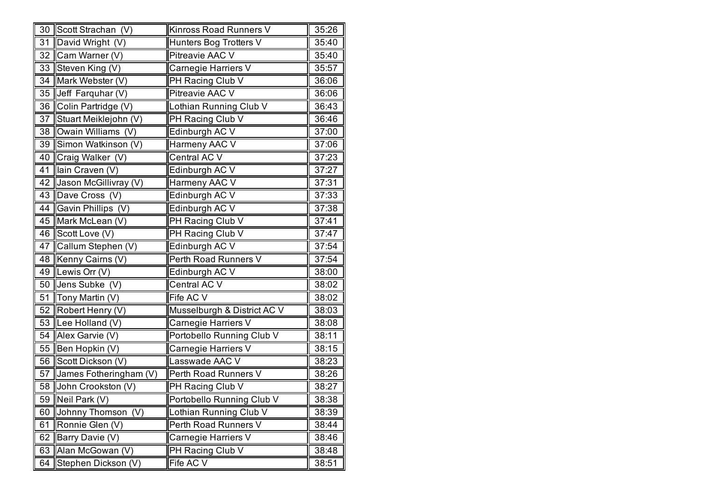|    | 30 Scott Strachan (V)  | Kinross Road Runners V      | 35:26 |
|----|------------------------|-----------------------------|-------|
| 31 | David Wright (V)       | Hunters Bog Trotters V      | 35:40 |
| 32 | Cam Warner (V)         | Pitreavie AAC V             | 35:40 |
| 33 | Steven King (V)        | Carnegie Harriers V         | 35:57 |
| 34 | Mark Webster (V)       | PH Racing Club V            | 36:06 |
| 35 | Jeff Farquhar (V)      | Pitreavie AAC V             | 36:06 |
| 36 | Colin Partridge (V)    | Lothian Running Club V      | 36:43 |
| 37 | Stuart Meiklejohn (V)  | PH Racing Club V            | 36:46 |
| 38 | Owain Williams (V)     | Edinburgh AC V              | 37:00 |
| 39 | Simon Watkinson (V)    | Harmeny AAC V               | 37:06 |
| 40 | Craig Walker (V)       | Central AC V                | 37:23 |
| 41 | lain Craven (V)        | Edinburgh AC V              | 37:27 |
| 42 | Jason McGillivray (V)  | Harmeny AAC V               | 37:31 |
| 43 | Dave Cross (V)         | Edinburgh AC V              | 37:33 |
| 44 | Gavin Phillips (V)     | Edinburgh AC V              | 37:38 |
| 45 | Mark McLean (V)        | PH Racing Club V            | 37:41 |
| 46 | Scott Love (V)         | PH Racing Club V            | 37:47 |
| 47 | Callum Stephen (V)     | Edinburgh AC V              | 37:54 |
| 48 | Kenny Cairns (V)       | Perth Road Runners V        | 37:54 |
| 49 | Lewis Orr (V)          | Edinburgh AC V              | 38:00 |
| 50 | Jens Subke (V)         | Central AC V                | 38:02 |
| 51 | Tony Martin (V)        | Fife AC V                   | 38:02 |
| 52 | Robert Henry (V)       | Musselburgh & District AC V | 38:03 |
| 53 | Lee Holland (V)        | Carnegie Harriers V         | 38:08 |
| 54 | Alex Garvie (V)        | Portobello Running Club V   | 38:11 |
| 55 | Ben Hopkin (V)         | Carnegie Harriers V         | 38:15 |
| 56 | Scott Dickson (V)      | Lasswade AAC V              | 38:23 |
| 57 | James Fotheringham (V) | Perth Road Runners V        | 38:26 |
| 58 | John Crookston (V)     | PH Racing Club V            | 38:27 |
| 59 | Neil Park (V)          | Portobello Running Club V   | 38:38 |
| 60 | Johnny Thomson (V)     | Lothian Running Club V      | 38:39 |
| 61 | Ronnie Glen (V)        | Perth Road Runners V        | 38:44 |
| 62 | Barry Davie (V)        | Carnegie Harriers V         | 38:46 |
| 63 | Alan McGowan (V)       | PH Racing Club V            | 38:48 |
| 64 | Stephen Dickson (V)    | Fife AC V                   | 38:51 |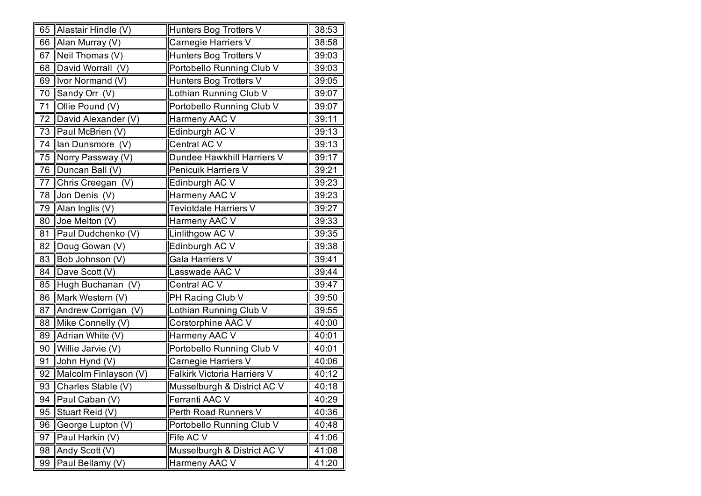|    | 65 Alastair Hindle (V) | Hunters Bog Trotters V      | 38:53 |
|----|------------------------|-----------------------------|-------|
|    | 66 Alan Murray (V)     | Carnegie Harriers V         | 38:58 |
| 67 | Neil Thomas (V)        | Hunters Bog Trotters V      | 39:03 |
| 68 | David Worrall (V)      | Portobello Running Club V   | 39:03 |
|    | 69 Ivor Normand (V)    | Hunters Bog Trotters V      | 39:05 |
|    | 70 Sandy Orr (V)       | Lothian Running Club V      | 39:07 |
| 71 | Ollie Pound (V)        | Portobello Running Club V   | 39:07 |
|    | 72 David Alexander (V) | Harmeny AAC V               | 39:11 |
|    | 73   Paul McBrien (V)  | Edinburgh AC V              | 39:13 |
| 74 | lan Dunsmore (V)       | Central AC V                | 39:13 |
| 75 | Norry Passway (V)      | Dundee Hawkhill Harriers V  | 39:17 |
|    | 76   Duncan Ball (V)   | Penicuik Harriers V         | 39:21 |
| 77 | Chris Creegan (V)      | Edinburgh AC V              | 39:23 |
| 78 | Jon Denis (V)          | Harmeny AAC V               | 39:23 |
| 79 | Alan Inglis (V)        | Teviotdale Harriers V       | 39:27 |
| 80 | Joe Melton (V)         | Harmeny AAC V               | 39:33 |
| 81 | Paul Dudchenko (V)     | Linlithgow AC V             | 39:35 |
| 82 | Doug Gowan (V)         | Edinburgh AC V              | 39:38 |
| 83 | Bob Johnson (V)        | Gala Harriers V             | 39:41 |
| 84 | Dave Scott (V)         | Lasswade AAC V              | 39:44 |
| 85 | Hugh Buchanan (V)      | Central AC V                | 39:47 |
| 86 | Mark Western (V)       | PH Racing Club V            | 39:50 |
| 87 | Andrew Corrigan (V)    | Lothian Running Club V      | 39:55 |
| 88 | Mike Connelly (V)      | Corstorphine AAC V          | 40:00 |
| 89 | Adrian White (V)       | Harmeny AAC V               | 40:01 |
| 90 | Willie Jarvie (V)      | Portobello Running Club V   | 40:01 |
| 91 | John Hynd (V)          | Carnegie Harriers V         | 40:06 |
| 92 | Malcolm Finlayson (V)  | Falkirk Victoria Harriers V | 40:12 |
| 93 | Charles Stable (V)     | Musselburgh & District AC V | 40:18 |
|    | 94   Paul Caban (V)    | Ferranti AAC V              | 40:29 |
| 95 | Stuart Reid (V)        | Perth Road Runners V        | 40:36 |
| 96 | George Lupton (V)      | Portobello Running Club V   | 40:48 |
| 97 | Paul Harkin (V)        | Fife AC V                   | 41:06 |
| 98 | Andy Scott (V)         | Musselburgh & District AC V | 41:08 |
| 99 | Paul Bellamy (V)       | Harmeny AAC V               | 41:20 |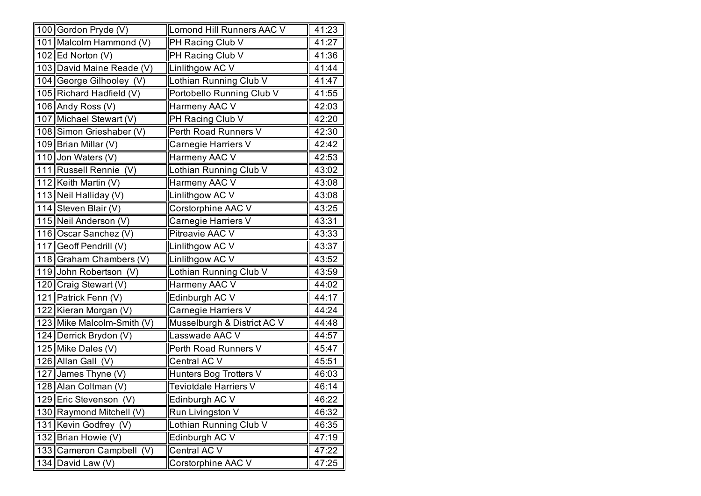|     | 100 Gordon Pryde (V)             | Lomond Hill Runners AAC V   | 41:23 |
|-----|----------------------------------|-----------------------------|-------|
|     | 101 Malcolm Hammond (V)          | PH Racing Club V            | 41:27 |
|     | 102 Ed Norton (V)                | PH Racing Club V            | 41:36 |
|     | 103 David Maine Reade (V)        | Linlithgow AC V             | 41:44 |
|     | 104 George Gilhooley (V)         | Lothian Running Club V      | 41:47 |
|     | 105 Richard Hadfield (V)         | Portobello Running Club V   | 41:55 |
|     | 106 Andy Ross (V)                | Harmeny AAC V               | 42:03 |
|     | 107 Michael Stewart (V)          | PH Racing Club V            | 42:20 |
|     | 108 Simon Grieshaber (V)         | Perth Road Runners V        | 42:30 |
|     | 109 Brian Millar (V)             | Carnegie Harriers V         | 42:42 |
|     | 110 Jon Waters (V)               | Harmeny AAC V               | 42:53 |
|     | 111 Russell Rennie (V)           | Lothian Running Club V      | 43:02 |
|     | 112 Keith Martin (V)             | Harmeny AAC V               | 43:08 |
|     | 113 Neil Halliday (V)            | Linlithgow AC V             | 43:08 |
|     | 114 Steven Blair (V)             | Corstorphine AAC V          | 43:25 |
|     | 115 Neil Anderson (V)            | Carnegie Harriers V         | 43:31 |
|     | 116 Oscar Sanchez (V)            | Pitreavie AAC V             | 43:33 |
|     | 117 Geoff Pendrill (V)           | Linlithgow AC V             | 43:37 |
|     | 118 Graham Chambers (V)          | Linlithgow AC V             | 43:52 |
|     | 119 John Robertson (V)           | Lothian Running Club V      | 43:59 |
|     | 120 Craig Stewart (V)            | Harmeny AAC V               | 44:02 |
|     | 121 Patrick Fenn (V)             | Edinburgh AC V              | 44:17 |
|     | 122 Kieran Morgan (V)            | Carnegie Harriers V         | 44:24 |
|     | 123 Mike Malcolm-Smith (V)       | Musselburgh & District AC V | 44:48 |
|     | 124 Derrick Brydon (V)           | Lasswade AAC V              | 44:57 |
|     | 125 Mike Dales (V)               | Perth Road Runners V        | 45:47 |
|     | 126 Allan Gall (V)               | Central AC V                | 45:51 |
|     | $\overline{127}$ James Thyne (V) | Hunters Bog Trotters V      | 46:03 |
|     | 128 Alan Coltman (V)             | Teviotdale Harriers V       | 46:14 |
|     | 129 Eric Stevenson (V)           | Edinburgh AC V              | 46:22 |
|     | 130 Raymond Mitchell (V)         | Run Livingston V            | 46:32 |
|     | 131 Kevin Godfrey (V)            | Lothian Running Club V      | 46:35 |
|     | 132 Brian Howie (V)              | Edinburgh AC V              | 47:19 |
| 133 | Cameron Campbell (V)             | Central AC V                | 47:22 |
|     | 134 David Law (V)                | Corstorphine AAC V          | 47:25 |